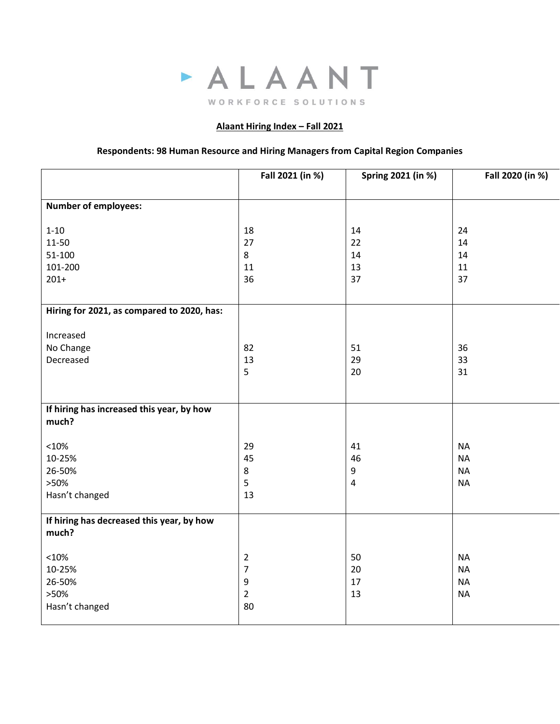

## **Alaant Hiring Index – Fall 2021**

## **Respondents: 98 Human Resource and Hiring Managers from Capital Region Companies**

|                                            | Fall 2021 (in %) | Spring 2021 (in %) | Fall 2020 (in %)       |
|--------------------------------------------|------------------|--------------------|------------------------|
|                                            |                  |                    |                        |
| <b>Number of employees:</b>                |                  |                    |                        |
|                                            |                  |                    |                        |
| $1 - 10$<br>11-50                          | 18<br>27         | 14<br>22           | 24<br>14               |
| 51-100                                     | 8                | 14                 | 14                     |
| 101-200                                    | 11               | 13                 | 11                     |
| $201+$                                     | 36               | 37                 | 37                     |
|                                            |                  |                    |                        |
| Hiring for 2021, as compared to 2020, has: |                  |                    |                        |
|                                            |                  |                    |                        |
| Increased<br>No Change                     | 82               | 51                 | 36                     |
| Decreased                                  | 13               | 29                 | 33                     |
|                                            | 5                | 20                 | 31                     |
|                                            |                  |                    |                        |
|                                            |                  |                    |                        |
| If hiring has increased this year, by how  |                  |                    |                        |
| much?                                      |                  |                    |                        |
| <10%                                       |                  | 41                 |                        |
| 10-25%                                     | 29<br>45         | 46                 | <b>NA</b><br><b>NA</b> |
| 26-50%                                     | $\,8\,$          | 9                  | <b>NA</b>              |
| >50%                                       | 5                | 4                  | <b>NA</b>              |
| Hasn't changed                             | 13               |                    |                        |
|                                            |                  |                    |                        |
| If hiring has decreased this year, by how  |                  |                    |                        |
| much?                                      |                  |                    |                        |
| <10%                                       | $\overline{2}$   | 50                 | <b>NA</b>              |
| 10-25%                                     | $\overline{7}$   | 20                 | <b>NA</b>              |
| 26-50%                                     | $\boldsymbol{9}$ | 17                 | <b>NA</b>              |
| >50%                                       | $\overline{2}$   | 13                 | <b>NA</b>              |
| Hasn't changed                             | 80               |                    |                        |
|                                            |                  |                    |                        |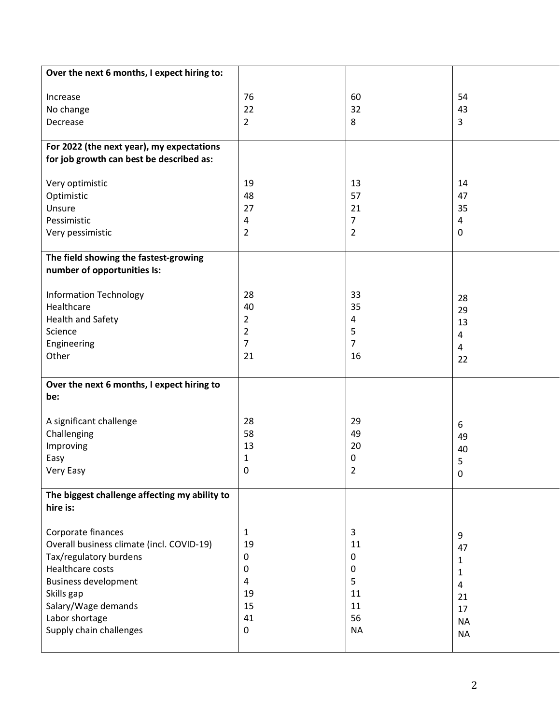| Over the next 6 months, I expect hiring to:   |                |                |           |
|-----------------------------------------------|----------------|----------------|-----------|
|                                               |                |                |           |
| Increase                                      | 76             | 60             | 54        |
| No change                                     | 22             | 32             | 43        |
| Decrease                                      | $\overline{2}$ | 8              | 3         |
|                                               |                |                |           |
| For 2022 (the next year), my expectations     |                |                |           |
| for job growth can best be described as:      |                |                |           |
|                                               |                |                |           |
| Very optimistic                               | 19             | 13             | 14        |
| Optimistic<br>Unsure                          | 48<br>27       | 57<br>21       | 47<br>35  |
| Pessimistic                                   | 4              | $\overline{7}$ | 4         |
| Very pessimistic                              | $\overline{2}$ | $\overline{2}$ | 0         |
|                                               |                |                |           |
| The field showing the fastest-growing         |                |                |           |
| number of opportunities Is:                   |                |                |           |
|                                               |                |                |           |
| <b>Information Technology</b>                 | 28             | 33             | 28        |
| Healthcare                                    | 40             | 35             | 29        |
| <b>Health and Safety</b>                      | $\overline{2}$ | 4              | 13        |
| Science                                       | $\overline{2}$ | 5              | 4         |
| Engineering                                   | $\overline{7}$ | $\overline{7}$ | 4         |
| Other                                         | 21             | 16             | 22        |
|                                               |                |                |           |
| Over the next 6 months, I expect hiring to    |                |                |           |
| be:                                           |                |                |           |
|                                               |                |                |           |
| A significant challenge                       | 28             | 29             | 6         |
| Challenging                                   | 58             | 49             | 49        |
| Improving                                     | 13             | 20             | 40        |
| Easy                                          | $\mathbf{1}$   | 0              | 5         |
| Very Easy                                     | 0              | $\overline{2}$ | 0         |
| The biggest challenge affecting my ability to |                |                |           |
| hire is:                                      |                |                |           |
|                                               |                |                |           |
| Corporate finances                            | $\mathbf{1}$   | 3              |           |
| Overall business climate (incl. COVID-19)     | 19             | 11             | 9         |
| Tax/regulatory burdens                        | 0              | 0              | 47        |
| <b>Healthcare costs</b>                       | 0              | 0              | 1         |
| <b>Business development</b>                   | 4              | 5              | 1<br>4    |
| Skills gap                                    | 19             | 11             | 21        |
| Salary/Wage demands                           | 15             | 11             | 17        |
| Labor shortage                                | 41             | 56             | <b>NA</b> |
| Supply chain challenges                       | $\mathbf 0$    | <b>NA</b>      | <b>NA</b> |
|                                               |                |                |           |
|                                               |                |                |           |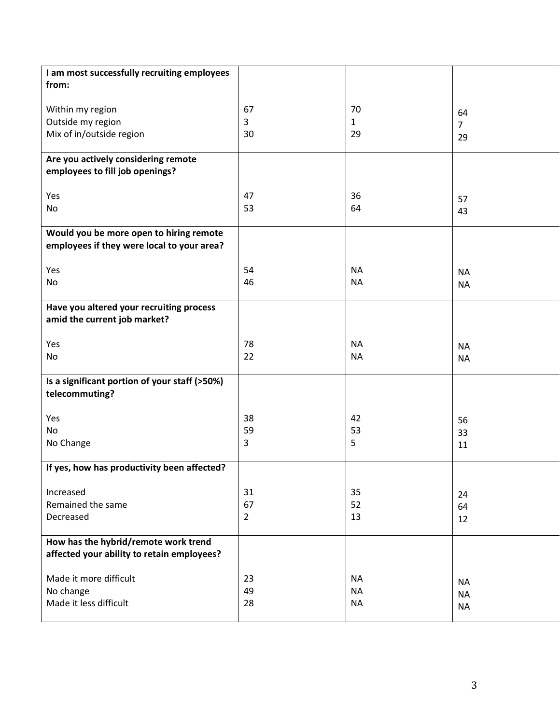| I am most successfully recruiting employees   |                |           |                |
|-----------------------------------------------|----------------|-----------|----------------|
|                                               |                |           |                |
| from:                                         |                |           |                |
|                                               |                |           |                |
| Within my region                              | 67             | 70        | 64             |
| Outside my region                             | 3              | 1         |                |
|                                               | 30             | 29        | $\overline{7}$ |
| Mix of in/outside region                      |                |           | 29             |
|                                               |                |           |                |
| Are you actively considering remote           |                |           |                |
| employees to fill job openings?               |                |           |                |
|                                               |                |           |                |
|                                               | 47             |           |                |
| Yes                                           |                | 36        | 57             |
| No                                            | 53             | 64        | 43             |
|                                               |                |           |                |
| Would you be more open to hiring remote       |                |           |                |
| employees if they were local to your area?    |                |           |                |
|                                               |                |           |                |
|                                               |                |           |                |
| Yes                                           | 54             | <b>NA</b> | <b>NA</b>      |
| No                                            | 46             | <b>NA</b> | <b>NA</b>      |
|                                               |                |           |                |
| Have you altered your recruiting process      |                |           |                |
| amid the current job market?                  |                |           |                |
|                                               |                |           |                |
|                                               |                |           |                |
| Yes                                           | 78             | <b>NA</b> | <b>NA</b>      |
| No                                            | 22             | <b>NA</b> | <b>NA</b>      |
|                                               |                |           |                |
| Is a significant portion of your staff (>50%) |                |           |                |
|                                               |                |           |                |
| telecommuting?                                |                |           |                |
|                                               |                |           |                |
| Yes                                           | 38             | 42        | 56             |
| No                                            | 59             | 53        | 33             |
| No Change                                     | 3              | 5         |                |
|                                               |                |           | 11             |
|                                               |                |           |                |
| If yes, how has productivity been affected?   |                |           |                |
|                                               |                |           |                |
| Increased                                     | 31             | 35        | 24             |
| Remained the same                             | 67             | 52        | 64             |
|                                               |                |           |                |
| Decreased                                     | $\overline{2}$ | 13        | 12             |
|                                               |                |           |                |
| How has the hybrid/remote work trend          |                |           |                |
| affected your ability to retain employees?    |                |           |                |
|                                               |                |           |                |
| Made it more difficult                        |                |           |                |
|                                               | 23             | <b>NA</b> | <b>NA</b>      |
| No change                                     | 49             | <b>NA</b> | <b>NA</b>      |
| Made it less difficult                        | 28             | <b>NA</b> | <b>NA</b>      |
|                                               |                |           |                |